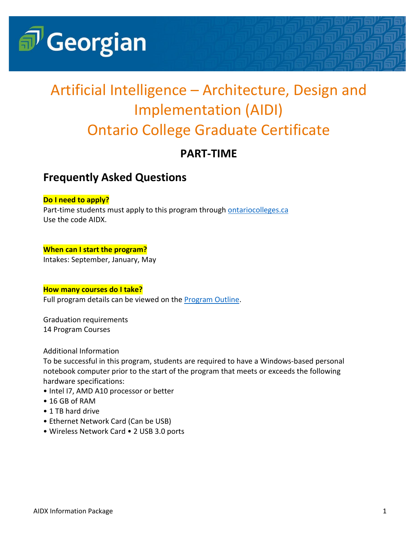

# Artificial Intelligence – Architecture, Design and Implementation (AIDI) Ontario College Graduate Certificate

## **PART-TIME**

### **Frequently Asked Questions**

#### **Do I need to apply?**

Part-time students must apply to this program through [ontariocolleges.ca](https://www.ontariocolleges.ca/en/) Use the code AIDX.

### **When can I start the program?**

Intakes: September, January, May

#### **How many courses do I take?**

Full program details can be viewed on the **Program Outline**.

Graduation requirements 14 Program Courses

Additional Information

To be successful in this program, students are required to have a Windows-based personal notebook computer prior to the start of the program that meets or exceeds the following hardware specifications:

- Intel I7, AMD A10 processor or better
- 16 GB of RAM
- 1 TB hard drive
- Ethernet Network Card (Can be USB)
- Wireless Network Card 2 USB 3.0 ports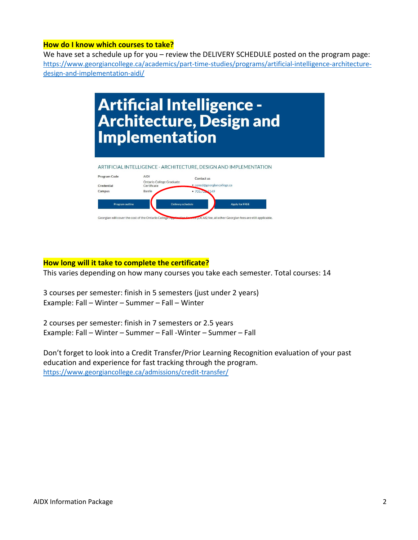#### **How do I know which courses to take?**

We have set a schedule up for you - review the DELIVERY SCHEDULE posted on the program page: [https://www.georgiancollege.ca/academics/part-time-studies/programs/artificial-intelligence-architecture](https://www.georgiancollege.ca/academics/part-time-studies/programs/artificial-intelligence-architecture-design-and-implementation-aidi/)[design-and-implementation-aidi/](https://www.georgiancollege.ca/academics/part-time-studies/programs/artificial-intelligence-architecture-design-and-implementation-aidi/)



#### **How long will it take to complete the certificate?**

This varies depending on how many courses you take each semester. Total courses: 14

3 courses per semester: finish in 5 semesters (just under 2 years) Example: Fall – Winter – Summer – Fall – Winter

2 courses per semester: finish in 7 semesters or 2.5 years Example: Fall – Winter – Summer – Fall -Winter – Summer – Fall

Don't forget to look into a Credit Transfer/Prior Learning Recognition evaluation of your past education and experience for fast tracking through the program. <https://www.georgiancollege.ca/admissions/credit-transfer/>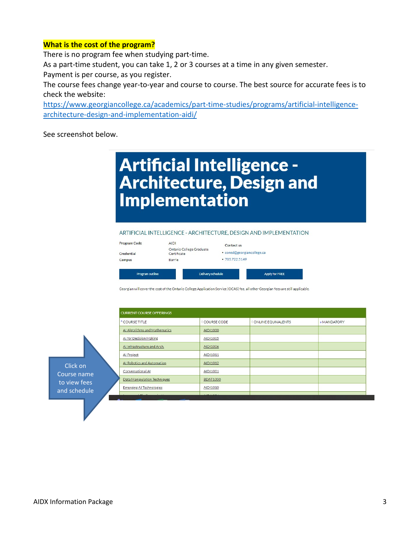#### **What is the cost of the program?**

There is no program fee when studying part-time.

As a part-time student, you can take 1, 2 or 3 courses at a time in any given semester.

Payment is per course, as you register.

The course fees change year-to-year and course to course. The best source for accurate fees is to check the website:

[https://www.georgiancollege.ca/academics/part-time-studies/programs/artificial-intelligence](https://www.georgiancollege.ca/academics/part-time-studies/programs/artificial-intelligence-architecture-design-and-implementation-aidi/)[architecture-design-and-implementation-aidi/](https://www.georgiancollege.ca/academics/part-time-studies/programs/artificial-intelligence-architecture-design-and-implementation-aidi/)

See screenshot below.

## **Artificial Intelligence -Architecture, Design and Implementation**

#### ARTIFICIAL INTELLIGENCE - ARCHITECTURE, DESIGN AND IMPLEMENTATION

| Program outline |                                         | Delivery schedule | Apply for FREE             |  |  |
|-----------------|-----------------------------------------|-------------------|----------------------------|--|--|
| Campus          | Barrie                                  | •705.722.5149     |                            |  |  |
| Credential      | Ontario College Graduate<br>Certificate |                   | · coned@georgiancollege.ca |  |  |
| Program Code    | <b>AIDI</b>                             | Contact us        |                            |  |  |

Georgian will cover the cost of the Ontario College Application Service (OCAS) fee, all other Georgian fees are still applicable

| <b>CURRENT COURSE OFFERINGS</b> |                 |                    |             |  |  |  |
|---------------------------------|-----------------|--------------------|-------------|--|--|--|
| <sup>*</sup> COURSE TITLE       | COURSE CODE     | ONLINE EQUIVALENTS | · MANDATORY |  |  |  |
| AI Algorithms and Mathematics   | AIDI1000        |                    |             |  |  |  |
| <b>Al for Decision Making</b>   | AIDI1005        |                    |             |  |  |  |
| AI Infrastructure and Arch.     | AIDI1006        |                    |             |  |  |  |
| Al Project                      | AIDI1011        |                    |             |  |  |  |
| Al Robotics and Automation      | AIDI1012        |                    |             |  |  |  |
| Conversational AI               | AIDI1001        |                    |             |  |  |  |
| Data Manipulation Techniques    | <b>BDAT1000</b> |                    |             |  |  |  |
| <b>Emerging AI Technologies</b> | AIDI1010        |                    |             |  |  |  |
|                                 |                 |                    |             |  |  |  |

Click on Course name to view fees and schedule